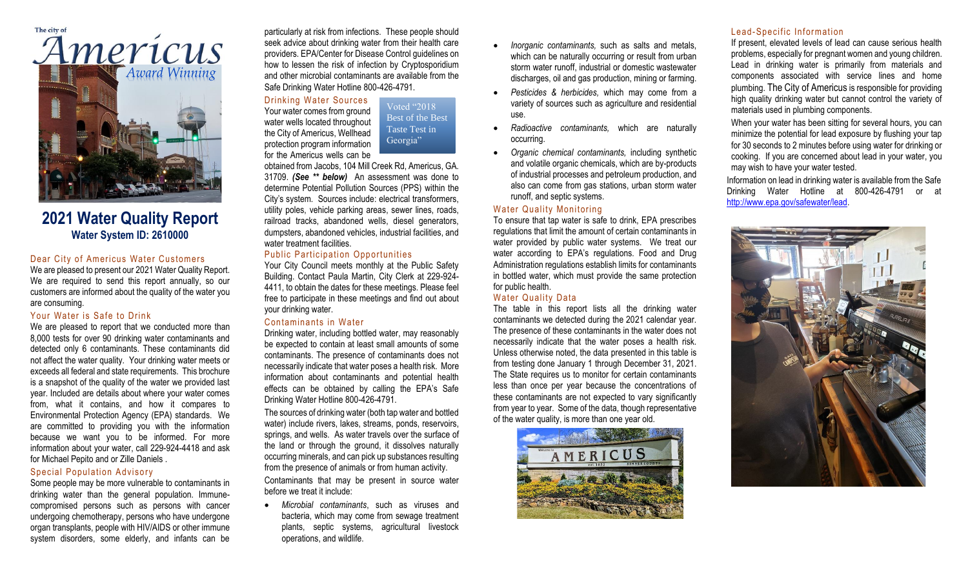

# **2021 Water Quality Report Water System ID: 2610000**

### Dear City of Americus Water Customers

We are pleased to present our 2021 Water Quality Report. We are required to send this report annually, so our customers are informed about the quality of the water you are consuming.

## Your Water is Safe to Drink

We are pleased to report that we conducted more than 8,000 tests for over 90 drinking water contaminants and detected only 6 contaminants. These contaminants did not affect the water quality. Your drinking water meets or exceeds all federal and state requirements. This brochure is a snapshot of the quality of the water we provided last year. Included are details about where your water comes from, what it contains, and how it compares to Environmental Protection Agency (EPA) standards. We are committed to providing you with the information because we want you to be informed. For more information about your water, call 229-924-4418 and ask for Michael Pepito and or Zille Daniels .

#### Special Population Advisory

Some people may be more vulnerable to contaminants in drinking water than the general population. Immunecompromised persons such as persons with cancer undergoing chemotherapy, persons who have undergone organ transplants, people with HIV/AIDS or other immune system disorders, some elderly, and infants can be

particularly at risk from infections. These people should seek advice about drinking water from their health care providers. EPA/Center for Disease Control guidelines on how to lessen the risk of infection by Cryptosporidium and other microbial contaminants are available from the Safe Drinking Water Hotline 800-426-4791.

## Drinking Water Sources

Your water comes from ground water wells located throughout the City of Americus, Wellhead protection program information for the Americus wells can be Voted "2018 Best of the Best Taste Test in Georgia"

obtained from Jacobs, 104 Mill Creek Rd, Americus, GA. 31709. *(See \*\* below)* An assessment was done to determine Potential Pollution Sources (PPS) within the City's system. Sources include: electrical transformers, utility poles, vehicle parking areas, sewer lines, roads, railroad tracks, abandoned wells, diesel generators, dumpsters, abandoned vehicles, industrial facilities, and water treatment facilities.

## Public Participation Opportunities

Your City Council meets monthly at the Public Safety Building. Contact Paula Martin, City Clerk at 229-924- 4411, to obtain the dates for these meetings. Please feel free to participate in these meetings and find out about your drinking water.

#### Contaminants in Water

Drinking water, including bottled water, may reasonably be expected to contain at least small amounts of some contaminants. The presence of contaminants does not necessarily indicate that water poses a health risk. More information about contaminants and potential health effects can be obtained by calling the EPA's Safe Drinking Water Hotline 800-426-4791.

The sources of drinking water (both tap water and bottled water) include rivers, lakes, streams, ponds, reservoirs, springs, and wells. As water travels over the surface of the land or through the ground, it dissolves naturally occurring minerals, and can pick up substances resulting from the presence of animals or from human activity.

Contaminants that may be present in source water before we treat it include:

• *Microbial contaminants*, such as viruses and bacteria, which may come from sewage treatment plants, septic systems, agricultural livestock operations, and wildlife.

- *Inorganic contaminants,* such as salts and metals, which can be naturally occurring or result from urban storm water runoff, industrial or domestic wastewater discharges, oil and gas production, mining or farming.
- *Pesticides & herbicides,* which may come from a variety of sources such as agriculture and residential use.
- *Radioactive contaminants,* which are naturally occurring.
- *Organic chemical contaminants,* including synthetic and volatile organic chemicals, which are by-products of industrial processes and petroleum production, and also can come from gas stations, urban storm water runoff, and septic systems.

### Water Quality Monitoring

To ensure that tap water is safe to drink, EPA prescribes regulations that limit the amount of certain contaminants in water provided by public water systems. We treat our water according to EPA's regulations. Food and Drug Administration regulations establish limits for contaminants in bottled water, which must provide the same protection for public health.

#### Water Quality Data

The table in this report lists all the drinking water contaminants we detected during the 2021 calendar year. The presence of these contaminants in the water does not necessarily indicate that the water poses a health risk. Unless otherwise noted, the data presented in this table is from testing done January 1 through December 31, 2021. The State requires us to monitor for certain contaminants less than once per year because the concentrations of these contaminants are not expected to vary significantly from year to year. Some of the data, though representative of the water quality, is more than one year old.



## Lead-Specific Information

If present, elevated levels of lead can cause serious health problems, especially for pregnant women and young children. Lead in drinking water is primarily from materials and components associated with service lines and home plumbing. The City of Americus is responsible for providing high quality drinking water but cannot control the variety of materials used in plumbing components.

When your water has been sitting for several hours, you can minimize the potential for lead exposure by flushing your tap for 30 seconds to 2 minutes before using water for drinking or cooking. If you are concerned about lead in your water, you may wish to have your water tested.

Information on lead in drinking water is available from the Safe Drinking Water Hotline at 800-426-4791 or at [http://www.epa.gov/safewater/lead.](http://www.epa.gov/safewater/lead)